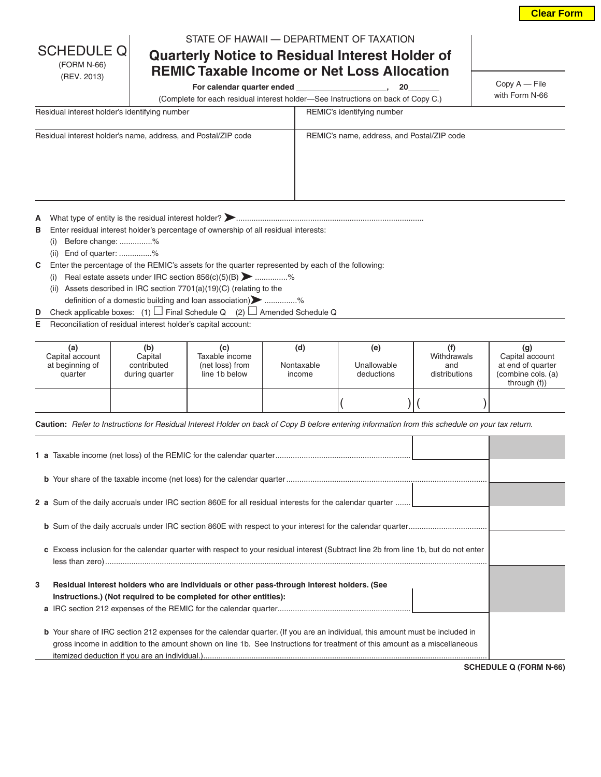| <b>Clear Form</b> |  |
|-------------------|--|
|-------------------|--|

# **Quarterly Notice to Residual Interest Holder of REMIC Taxable Income or Net Loss Allocation**

For calendar quarter ended \_\_\_\_\_\_\_\_\_\_\_\_\_\_\_\_\_\_\_\_\_\_\_, 20

Copy A — File with Form N-66

(Complete for each residual interest holder—See Instructions on back of Copy C.)

| Residual interest holder's identifying number                 | REMIC's identifying number                 |
|---------------------------------------------------------------|--------------------------------------------|
| Residual interest holder's name, address, and Postal/ZIP code | REMIC's name, address, and Postal/ZIP code |

**<sup>A</sup>** What type of entity is the residual interest holder? ......................................................................................

**B** Enter residual interest holder's percentage of ownership of all residual interests:

(i) Before change: ...............%

SCHEDULE Q (FORM N-66) (REV. 2013)

(ii) End of quarter: ...............%

**C** Enter the percentage of the REMIC's assets for the quarter represented by each of the following:

- (i) Real estate assets under IRC section  $856(c)(5)(B)$  ...............% (ii) Assets described in IRC section 7701(a)(19)(C) (relating to the
- definition of a domestic building and loan association) **Definition** of a domestic building and loan association) **D** Check applicable boxes: (1)  $\Box$  Final Schedule Q (2)  $\Box$  Amended Schedule Q
- **E** Reconciliation of residual interest holder's capital account:

| (a)<br>Capital account<br>at beginning of<br>quarter | (b)<br>Capital<br>contributed<br>during quarter | (c)<br>Taxable income<br>(net loss) from<br>line 1b below | (d)<br>Nontaxable<br>income | (e)<br>Unallowable<br>deductions | Withdrawals<br>and<br>distributions | (g)<br>Capital account<br>at end of quarter<br>(combine cols. (a)<br>through $(f)$ |
|------------------------------------------------------|-------------------------------------------------|-----------------------------------------------------------|-----------------------------|----------------------------------|-------------------------------------|------------------------------------------------------------------------------------|
|                                                      |                                                 |                                                           |                             |                                  |                                     |                                                                                    |

**Caution:** *Refer to Instructions for Residual Interest Holder on back of Copy B before entering information from this schedule on your tax return.*

|   | 2 a Sum of the daily accruals under IRC section 860E for all residual interests for the calendar quarter                             |  |
|---|--------------------------------------------------------------------------------------------------------------------------------------|--|
|   |                                                                                                                                      |  |
|   | c Excess inclusion for the calendar quarter with respect to your residual interest (Subtract line 2b from line 1b, but do not enter  |  |
|   |                                                                                                                                      |  |
| 3 | Residual interest holders who are individuals or other pass-through interest holders. (See                                           |  |
|   | Instructions.) (Not required to be completed for other entities):                                                                    |  |
|   | <b>b</b> Your share of IRC section 212 expenses for the calendar quarter. (If you are an individual, this amount must be included in |  |
|   | gross income in addition to the amount shown on line 1b. See Instructions for treatment of this amount as a miscellaneous            |  |

**SCHEDULE Q (FORM N-66)**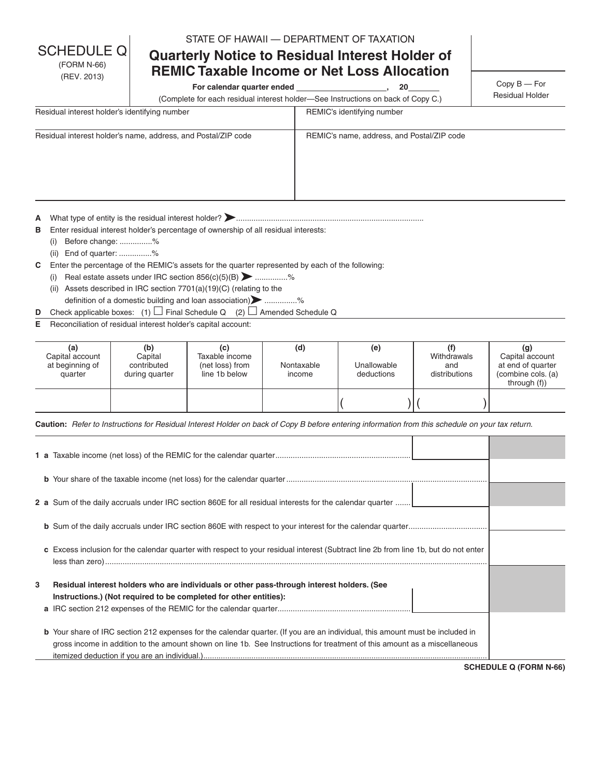STATE OF HAWAII — DEPARTMENT OF TAXATION

# **Quarterly Notice to Residual Interest Holder of REMIC Taxable Income or Net Loss Allocation**

For calendar quarter ended \_\_\_\_\_\_\_\_\_\_\_\_\_\_\_\_\_\_\_\_\_\_\_, 20

Copy B — For Residual Holder

(Complete for each residual interest holder—See Instructions on back of Copy C.)

| Residual interest holder's identifying number                 | REMIC's identifying number                 |
|---------------------------------------------------------------|--------------------------------------------|
| Residual interest holder's name, address, and Postal/ZIP code | REMIC's name, address, and Postal/ZIP code |

**<sup>A</sup>** What type of entity is the residual interest holder? ......................................................................................

**B** Enter residual interest holder's percentage of ownership of all residual interests:

(i) Before change: ...............%

**SCHEDULE** (FORM N-66) (REV. 2013)

(ii) End of quarter: ...............%

**C** Enter the percentage of the REMIC's assets for the quarter represented by each of the following:

- (i) Real estate assets under IRC section  $856(c)(5)(B)$  ...............% (ii) Assets described in IRC section  $7701(a)(19)(C)$  (relating to the
- definition of a domestic building and loan association) **Definition** of a domestic building and loan association) **D** Check applicable boxes: (1)  $\Box$  Final Schedule Q (2)  $\Box$  Amended Schedule Q
- **E** Reconciliation of residual interest holder's capital account:
- 

| (a)<br>Capital account<br>at beginning of<br>quarter | (b)<br>Capital<br>contributed<br>during quarter | (c)<br>Taxable income<br>(net loss) from<br>line 1b below | (d)<br>Nontaxable<br>income | (e)<br>Unallowable<br>deductions | Withdrawals<br>and<br>distributions | (g)<br>Capital account<br>at end of quarter<br>(combine cols. (a)<br>through $(f)$ |
|------------------------------------------------------|-------------------------------------------------|-----------------------------------------------------------|-----------------------------|----------------------------------|-------------------------------------|------------------------------------------------------------------------------------|
|                                                      |                                                 |                                                           |                             |                                  |                                     |                                                                                    |

**Caution:** *Refer to Instructions for Residual Interest Holder on back of Copy B before entering information from this schedule on your tax return.*

|   | 2 a Sum of the daily accruals under IRC section 860E for all residual interests for the calendar quarter                             |  |
|---|--------------------------------------------------------------------------------------------------------------------------------------|--|
|   |                                                                                                                                      |  |
|   | c Excess inclusion for the calendar quarter with respect to your residual interest (Subtract line 2b from line 1b, but do not enter  |  |
|   |                                                                                                                                      |  |
| 3 | Residual interest holders who are individuals or other pass-through interest holders. (See                                           |  |
|   | Instructions.) (Not required to be completed for other entities):                                                                    |  |
|   | <b>b</b> Your share of IRC section 212 expenses for the calendar quarter. (If you are an individual, this amount must be included in |  |
|   | gross income in addition to the amount shown on line 1b. See Instructions for treatment of this amount as a miscellaneous            |  |

**SCHEDULE Q (FORM N-66)**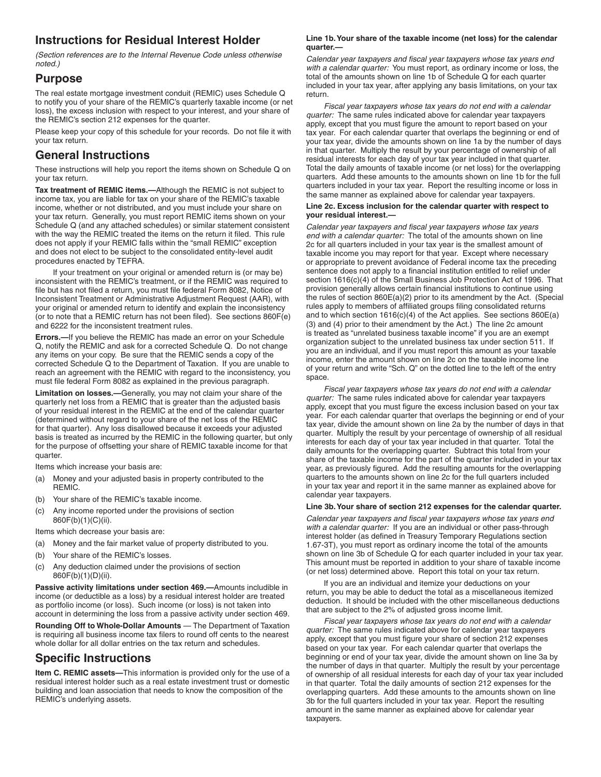## **Instructions for Residual Interest Holder**

*(Section references are to the Internal Revenue Code unless otherwise noted.)*

### **Purpose**

The real estate mortgage investment conduit (REMIC) uses Schedule Q to notify you of your share of the REMIC's quarterly taxable income (or net loss), the excess inclusion with respect to your interest, and your share of the REMIC's section 212 expenses for the quarter.

Please keep your copy of this schedule for your records. Do not file it with your tax return.

### **General Instructions**

These instructions will help you report the items shown on Schedule Q on your tax return.

**Tax treatment of REMIC items.—**Although the REMIC is not subject to income tax, you are liable for tax on your share of the REMIC's taxable income, whether or not distributed, and you must include your share on your tax return. Generally, you must report REMIC items shown on your Schedule Q (and any attached schedules) or similar statement consistent with the way the REMIC treated the items on the return it filed. This rule does not apply if your REMIC falls within the "small REMIC" exception and does not elect to be subject to the consolidated entity-level audit procedures enacted by TEFRA.

If your treatment on your original or amended return is (or may be) inconsistent with the REMIC's treatment, or if the REMIC was required to file but has not filed a return, you must file federal Form 8082, Notice of Inconsistent Treatment or Administrative Adjustment Request (AAR), with your original or amended return to identify and explain the inconsistency (or to note that a REMIC return has not been filed). See sections 860F(e) and 6222 for the inconsistent treatment rules.

**Errors.—**If you believe the REMIC has made an error on your Schedule Q, notify the REMIC and ask for a corrected Schedule Q. Do not change any items on your copy. Be sure that the REMIC sends a copy of the corrected Schedule Q to the Department of Taxation. If you are unable to reach an agreement with the REMIC with regard to the inconsistency, you must file federal Form 8082 as explained in the previous paragraph.

**Limitation on losses.—**Generally, you may not claim your share of the quarterly net loss from a REMIC that is greater than the adjusted basis of your residual interest in the REMIC at the end of the calendar quarter (determined without regard to your share of the net loss of the REMIC for that quarter). Any loss disallowed because it exceeds your adjusted basis is treated as incurred by the REMIC in the following quarter, but only for the purpose of offsetting your share of REMIC taxable income for that quarter.

Items which increase your basis are:

- (a) Money and your adjusted basis in property contributed to the REMIC.
- (b) Your share of the REMIC's taxable income.
- (c) Any income reported under the provisions of section 860F(b)(1)(C)(ii).
- Items which decrease your basis are:
- (a) Money and the fair market value of property distributed to you.
- (b) Your share of the REMIC's losses.
- (c) Any deduction claimed under the provisions of section 860F(b)(1)(D)(ii).

**Passive activity limitations under section 469.—**Amounts includible in income (or deductible as a loss) by a residual interest holder are treated as portfolio income (or loss). Such income (or loss) is not taken into account in determining the loss from a passive activity under section 469.

**Rounding Off to Whole-Dollar Amounts** — The Department of Taxation is requiring all business income tax filers to round off cents to the nearest whole dollar for all dollar entries on the tax return and schedules.

## **Specific Instructions**

**Item C. REMIC assets—**This information is provided only for the use of a residual interest holder such as a real estate investment trust or domestic building and loan association that needs to know the composition of the REMIC's underlying assets.

#### **Line 1b. Your share of the taxable income (net loss) for the calendar quarter.—**

*Calendar year taxpayers and fiscal year taxpayers whose tax years end with a calendar quarter:* You must report, as ordinary income or loss, the total of the amounts shown on line 1b of Schedule Q for each quarter included in your tax year, after applying any basis limitations, on your tax return.

*Fiscal year taxpayers whose tax years do not end with a calendar quarter:* The same rules indicated above for calendar year taxpayers apply, except that you must figure the amount to report based on your tax year. For each calendar quarter that overlaps the beginning or end of your tax year, divide the amounts shown on line 1a by the number of days in that quarter. Multiply the result by your percentage of ownership of all residual interests for each day of your tax year included in that quarter. Total the daily amounts of taxable income (or net loss) for the overlapping quarters. Add these amounts to the amounts shown on line 1b for the full quarters included in your tax year. Report the resulting income or loss in the same manner as explained above for calendar year taxpayers.

#### **Line 2c. Excess inclusion for the calendar quarter with respect to your residual interest.—**

*Calendar year taxpayers and fiscal year taxpayers whose tax years end with a calendar quarter:* The total of the amounts shown on line 2c for all quarters included in your tax year is the smallest amount of taxable income you may report for that year. Except where necessary or appropriate to prevent avoidance of Federal income tax the preceding sentence does not apply to a financial institution entitled to relief under section 1616(c)(4) of the Small Business Job Protection Act of 1996. That provision generally allows certain financial institutions to continue using the rules of section 860E(a)(2) prior to its amendment by the Act. (Special rules apply to members of affiliated groups filing consolidated returns and to which section 1616(c)(4) of the Act applies. See sections 860E(a) (3) and (4) prior to their amendment by the Act.) The line 2c amount is treated as "unrelated business taxable income" if you are an exempt organization subject to the unrelated business tax under section 511. If you are an individual, and if you must report this amount as your taxable income, enter the amount shown on line 2c on the taxable income line of your return and write "Sch. Q" on the dotted line to the left of the entry space.

*Fiscal year taxpayers whose tax years do not end with a calendar quarter:* The same rules indicated above for calendar year taxpayers apply, except that you must figure the excess inclusion based on your tax year. For each calendar quarter that overlaps the beginning or end of your tax year, divide the amount shown on line 2a by the number of days in that quarter. Multiply the result by your percentage of ownership of all residual interests for each day of your tax year included in that quarter. Total the daily amounts for the overlapping quarter. Subtract this total from your share of the taxable income for the part of the quarter included in your tax year, as previously figured. Add the resulting amounts for the overlapping quarters to the amounts shown on line 2c for the full quarters included in your tax year and report it in the same manner as explained above for calendar year taxpayers.

#### **Line 3b. Your share of section 212 expenses for the calendar quarter.**

*Calendar year taxpayers and fiscal year taxpayers whose tax years end with a calendar quarter:* If you are an individual or other pass-through interest holder (as defined in Treasury Temporary Regulations section 1.67-3T), you must report as ordinary income the total of the amounts shown on line 3b of Schedule Q for each quarter included in your tax year. This amount must be reported in addition to your share of taxable income (or net loss) determined above. Report this total on your tax return.

If you are an individual and itemize your deductions on your return, you may be able to deduct the total as a miscellaneous itemized deduction. It should be included with the other miscellaneous deductions that are subject to the 2% of adjusted gross income limit.

*Fiscal year taxpayers whose tax years do not end with a calendar quarter:* The same rules indicated above for calendar year taxpayers apply, except that you must figure your share of section 212 expenses based on your tax year. For each calendar quarter that overlaps the beginning or end of your tax year, divide the amount shown on line 3a by the number of days in that quarter. Multiply the result by your percentage of ownership of all residual interests for each day of your tax year included in that quarter. Total the daily amounts of section 212 expenses for the overlapping quarters. Add these amounts to the amounts shown on line 3b for the full quarters included in your tax year. Report the resulting amount in the same manner as explained above for calendar year taxpayers.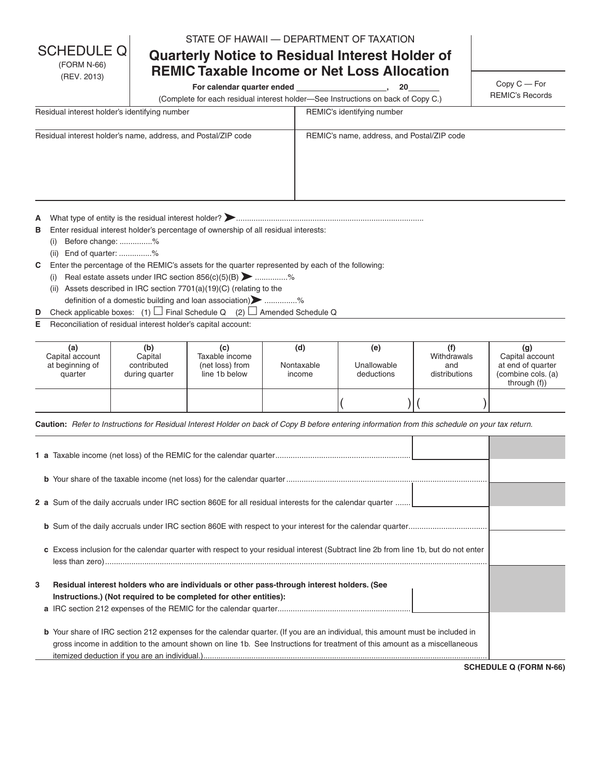STATE OF HAWAII — DEPARTMENT OF TAXATION

# **Quarterly Notice to Residual Interest Holder of REMIC Taxable Income or Net Loss Allocation**

For calendar quarter ended \_\_\_\_\_\_\_\_\_\_\_\_\_\_\_\_\_\_\_\_\_\_\_, 20

Copy C — For REMIC's Records

(Complete for each residual interest holder—See Instructions on back of Copy C.)

| Residual interest holder's identifying number                 | REMIC's identifying number                 |
|---------------------------------------------------------------|--------------------------------------------|
| Residual interest holder's name, address, and Postal/ZIP code | REMIC's name, address, and Postal/ZIP code |

**<sup>A</sup>** What type of entity is the residual interest holder? ......................................................................................

**B** Enter residual interest holder's percentage of ownership of all residual interests:

(i) Before change: ...............%

**SCHEDULE** (FORM N-66) (REV. 2013)

(ii) End of quarter: ...............%

**C** Enter the percentage of the REMIC's assets for the quarter represented by each of the following:

- (i) Real estate assets under IRC section  $856(c)(5)(B)$  ...............% (ii) Assets described in IRC section  $7701(a)(19)(C)$  (relating to the
- definition of a domestic building and loan association) **Definition** of a domestic building and loan association) **D** Check applicable boxes: (1)  $\Box$  Final Schedule Q (2)  $\Box$  Amended Schedule Q
- **E** Reconciliation of residual interest holder's capital account:
- 

| (a)<br>Capital account<br>at beginning of<br>quarter | (b)<br>Capital<br>contributed<br>during quarter | (c)<br>Taxable income<br>(net loss) from<br>line 1b below | (d)<br>Nontaxable<br>income | (e)<br>Unallowable<br>deductions | Withdrawals<br>and<br>distributions | (g)<br>Capital account<br>at end of quarter<br>(combine cols. (a)<br>through $(f)$ |
|------------------------------------------------------|-------------------------------------------------|-----------------------------------------------------------|-----------------------------|----------------------------------|-------------------------------------|------------------------------------------------------------------------------------|
|                                                      |                                                 |                                                           |                             |                                  |                                     |                                                                                    |

**Caution:** *Refer to Instructions for Residual Interest Holder on back of Copy B before entering information from this schedule on your tax return.*

|   | 2 a Sum of the daily accruals under IRC section 860E for all residual interests for the calendar quarter                             |  |
|---|--------------------------------------------------------------------------------------------------------------------------------------|--|
|   |                                                                                                                                      |  |
|   | c Excess inclusion for the calendar quarter with respect to your residual interest (Subtract line 2b from line 1b, but do not enter  |  |
|   |                                                                                                                                      |  |
| 3 | Residual interest holders who are individuals or other pass-through interest holders. (See                                           |  |
|   | Instructions.) (Not required to be completed for other entities):                                                                    |  |
|   | <b>b</b> Your share of IRC section 212 expenses for the calendar quarter. (If you are an individual, this amount must be included in |  |
|   | gross income in addition to the amount shown on line 1b. See Instructions for treatment of this amount as a miscellaneous            |  |

**SCHEDULE Q (FORM N-66)**